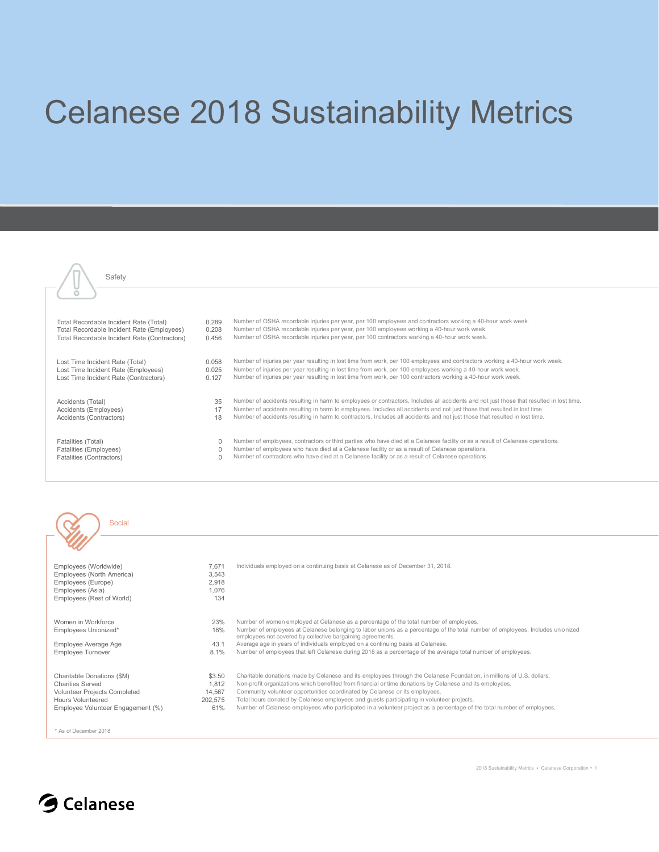## Celanese 2018 Sustainability Metrics

| Safety                                       |          |                                                                                                                                          |
|----------------------------------------------|----------|------------------------------------------------------------------------------------------------------------------------------------------|
|                                              |          |                                                                                                                                          |
| Total Recordable Incident Rate (Total)       | 0.289    | Number of OSHA recordable injuries per year, per 100 employees and contractors working a 40-hour work week.                              |
| Total Recordable Incident Rate (Employees)   | 0.208    | Number of OSHA recordable injuries per year, per 100 employees working a 40-hour work week.                                              |
| Total Recordable Incident Rate (Contractors) | 0.456    | Number of OSHA recordable injuries per year, per 100 contractors working a 40-hour work week.                                            |
| Lost Time Incident Rate (Total)              | 0.058    | Number of injuries per year resulting in lost time from work, per 100 employees and contractors working a 40-hour work week.             |
| Lost Time Incident Rate (Employees)          | 0.025    | Number of injuries per year resulting in lost time from work, per 100 employees working a 40-hour work week.                             |
| Lost Time Incident Rate (Contractors)        | 0.127    | Number of injuries per year resulting in lost time from work, per 100 contractors working a 40-hour work week.                           |
| Accidents (Total)                            | 35       | Number of accidents resulting in harm to employees or contractors. Includes all accidents and not just those that resulted in lost time. |
| Accidents (Employees)                        | 17       | Number of accidents resulting in harm to employees. Includes all accidents and not just those that resulted in lost time.                |
| Accidents (Contractors)                      | 18       | Number of accidents resulting in harm to contractors. Includes all accidents and not just those that resulted in lost time.              |
| Fatalities (Total)                           | $\Omega$ | Number of employees, contractors or third parties who have died at a Celanese facility or as a result of Celanese operations.            |
| Fatalities (Employees)                       | $\Omega$ | Number of employees who have died at a Celanese facility or as a result of Celanese operations.                                          |
| Fatalities (Contractors)                     | $\Omega$ | Number of contractors who have died at a Celanese facility or as a result of Celanese operations.                                        |

| Employees (Worldwide)<br>Employees (North America)<br>Employees (Europe)<br>Employees (Asia)<br>Employees (Rest of World)                       | 7,671<br>3,543<br>2,918<br>1.076<br>134     | Individuals employed on a continuing basis at Celanese as of December 31, 2018.                                                                                                                                                                                                                                                                                                                                                                                                                                                         |
|-------------------------------------------------------------------------------------------------------------------------------------------------|---------------------------------------------|-----------------------------------------------------------------------------------------------------------------------------------------------------------------------------------------------------------------------------------------------------------------------------------------------------------------------------------------------------------------------------------------------------------------------------------------------------------------------------------------------------------------------------------------|
| Women in Workforce<br>Employees Unionized*                                                                                                      | 23%<br>18%                                  | Number of women employed at Celanese as a percentage of the total number of employees.<br>Number of employees at Celanese belonging to labor unions as a percentage of the total number of employees. Includes unionized<br>employees not covered by collective bargaining agreements.                                                                                                                                                                                                                                                  |
| Employee Average Age                                                                                                                            | 43.1                                        | Average age in years of individuals employed on a continuing basis at Celanese.                                                                                                                                                                                                                                                                                                                                                                                                                                                         |
| Employee Turnover                                                                                                                               | 8.1%                                        | Number of employees that left Celanese during 2018 as a percentage of the average total number of employees.                                                                                                                                                                                                                                                                                                                                                                                                                            |
| Charitable Donations (\$M)<br><b>Charities Served</b><br>Volunteer Projects Completed<br>Hours Volunteered<br>Employee Volunteer Engagement (%) | \$3.50<br>1.812<br>14.567<br>202.575<br>61% | Charitable donations made by Celanese and its employees through the Celanese Foundation, in millions of U.S. dollars.<br>Non-profit organizations which benefited from financial or time donations by Celanese and its employees.<br>Community volunteer opportunities coordinated by Celanese or its employees.<br>Total hours donated by Celanese employees and guests participating in volunteer projects.<br>Number of Celanese employees who participated in a volunteer project as a percentage of the total number of employees. |
| * As of December 2018                                                                                                                           |                                             |                                                                                                                                                                                                                                                                                                                                                                                                                                                                                                                                         |

2018 Sustainability Metrics · Celanese Corporation · 1



Social

 $\alpha$